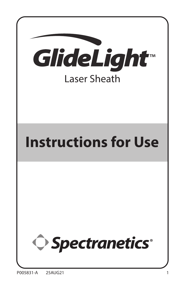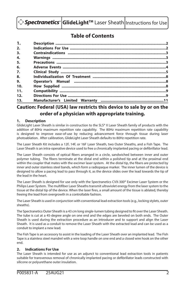|  |  | ◯ Spectranetics <sup>•</sup> GlideLight <sup>™</sup> Laser Sheath Instructions for Use |
|--|--|----------------------------------------------------------------------------------------|
|--|--|----------------------------------------------------------------------------------------|

### **Table of Contents**

| 1.  |  |
|-----|--|
| 2.  |  |
| 3.  |  |
| 4.  |  |
| 5.  |  |
| 6.  |  |
| 7.  |  |
| 8.  |  |
| 9.  |  |
| 10. |  |
| 11. |  |
| 12. |  |
| 13. |  |

### **Caution: Federal (USA) law restricts this device to sale by or on the order of a physician with appropriate training.**

#### **1. Description**

GlideLight Laser Sheath is similar in construction to the SLS® II Laser Sheath family of products with the addition of 80Hz maximum repetition rate capability. The 80Hz maximum repetition rate capability is designed to improve ease-of-use by reducing advancement force through tissue during laser photoablation. After calibration, GlideLight Laser Sheath defaults to 80Hz repetition rate.

The Laser Sheath Kit includes a 12F, 14F, or 16F Laser Sheath, two Outer Sheaths, and a Fish Tape. The Laser Sheath is an intra-operative device used to free a chronically implanted pacing or defibrillator lead.

The Laser Sheath consists of optical fibers arranged in a circle, sandwiched between inner and outer polymer tubing. The fibers terminate at the distal end within a polished tip and at the proximal end within the coupler that mates with the excimer laser system. At the distal tip, the fibers are protected by inner and outer stainless steel bands, which form a radiopaque marker. The inner lumen of the device is designed to allow a pacing lead to pass through it, as the device slides over the lead towards the tip of the lead in the heart.

The Laser Sheath is designed for use only with the Spectranetics CVX-300® Excimer Laser System or the Philips Laser System. The multifiber Laser Sheaths transmit ultraviolet energy from the laser system to the tissue at the distal tip of the device. When the laser fires, a small amount of the tissue is ablated, thereby freeing the lead from overgrowth in a controllable fashion.

The Laser Sheath is used in conjunction with conventional lead extraction tools (e.g., locking stylets, outer sheaths).

The Spectranetics Outer Sheath is a 43 cm long single-lumen tubing designed to fit over the Laser Sheath. The tube is cut at a 45-degree angle on one end and the edges are beveled on both ends. The Outer Sheath is used during the extraction procedure as an introducer and to support and align the Laser Sheath. It is used as a conduit to remove the Laser Sheath with the extracted lead and can be used as a conduit to implant a new lead.

The Fish Tape is an accessory to assist in the loading of the Laser Sheath over an implanted lead. The Fish Tape is a stainless steel mandrel with a wire loop handle on one end and a closed wire hook on the other end.

#### **2. Indications For Use**

The Laser Sheath is intended for use as an adjunct to conventional lead extraction tools in patients suitable for transvenous removal of chronically implanted pacing or defibrillator leads constructed with silicone or polyurethane outer insulation.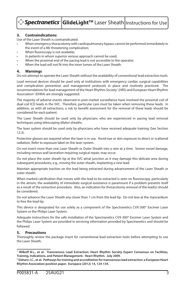#### **3. Contraindications**

Use of the Laser Sheath is contraindicated:

- When emergency thoracotomy with cardiopulmonary bypass cannot be performed immediately in the event of a life threatening complication;
- When fluoroscopy is not available;
- In patients in whom superior venous approach cannot be used;
- When the proximal end of the pacing lead is not accessible to the operator;
- When the lead will not fit into the inner lumen of the Laser Sheath.

#### **4. Warnings**

Do not attempt to operate the Laser Sheath without the availability of conventional lead extraction tools.

Lead removal devices should be used only at institutions with emergency cardiac surgical capabilities and complication prevention and management protocols in place and routinely practiced. The recommendations for lead management of the Heart Rhythm Society<sup>1</sup> (HRS) and European Heart Rhythm Association<sup>2</sup> (EHRA) are strongly suggested.

The majority of adverse events observed in post market surveillance have involved the proximal coil of dual coil ICD leads in the SVC. Therefore, particular care must be taken when removing these leads. In addition, as with all extractions, a risk to benefit assessment for the removal of these leads should be considered for each patient.

The Laser Sheath should be used only by physicians who are experienced in pacing lead removal techniques using telescoping dilator sheaths.

The laser system should be used only by physicians who have received adequate training (See Section 12.3).

Protective glasses are required when the laser is in use. Avoid eye or skin exposure to direct or scattered radiation. Refer to exposure label on the laser system.

Do not insert more than one Laser Sheath or Outer Sheath into a vein at a time. Severe vessel damage, including venous wall laceration requiring surgical repair, may occur.

Do not place the outer sheath tip at the SVC-atrial junction as it may damage this delicate area during subsequent procedures, e.g., moving the outer sheath, implanting a new lead.

Maintain appropriate traction on the lead being extracted during advancement of the Laser Sheath or outer sheath.

When marked calcification that moves with the lead to be extracted is seen on fluoroscopy, particularly in the atrium, the availability of immediate surgical assistance is paramount if a problem presents itself as a result of the extraction procedure. Also, an indication for thoracotomy removal of the lead(s) should be considered.

Do not advance the Laser Sheath any closer than 1 cm from the lead tip. Do not lase at the myocardium to free the lead tip.

This device is designated for use solely as a component of the Spectranetics CVX-300® Excimer Laser System or the Philips Laser System.

Adequate instructions for the safe installation of the Spectranetics CVX-300® Excimer Laser System and the Philips Laser System are provided in servicing information provided by Spectranetics and should be followed.

#### **5. Precautions**

Thoroughly review the package insert for conventional lead extraction tools before attempting to use the Laser Sheath.

**<sup>1</sup> Wilkoff B.L., et al. Transvenous Lead Extraction: Heart Rhythm Society Expert Consensus on Facilities, Training, Indications, and Patient Management. Heart Rhythm. July 2009.**

**<sup>2</sup> Deharo J.C., et al. Pathways for training and accreditation for transvenous lead extraction: a European Heart Rhythm Association position paper. Europace (2012) 14, 124-134.**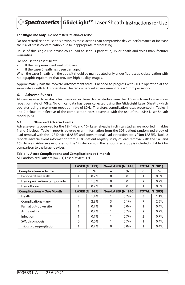## **> Spectranetics**\* GlideLight™ Laser Sheath Instructions for Use

#### **For single use only.** Do not resterilize and/or reuse.

Do not resterilize or reuse this device, as these actions can compromise device performance or increase the risk of cross-contamination due to inappropriate reprocessing.

Reuse of this single use device could lead to serious patient injury or death and voids manufacturer warranties.

Do not use the Laser Sheath:

- If the tamper-evident seal is broken;
- If the Laser Sheath has been damaged.

When the Laser Sheath is in the body, it should be manipulated only under fluoroscopic observation with radiographic equipment that provides high quality images.

Approximately half the forward advancement force is needed to progress with 80 Hz operation at the same rate as with 40 Hz operation. The recommended advancement rate is 1 mm per second.

#### **6. Adverse Events**

All devices used to evaluate lead removal in these clinical studies were the SLS, which used a maximum repetition rate of 40Hz. No clinical data has been collected using the GlideLight Laser Sheath, which operates using a maximum repetition rate of 80Hz. Therefore, complication rates presented in Tables 1 and 2 below are reflective of the complication rates observed with the use of the 40Hz Laser Sheath model (SLS).

#### **6.1. Observed Adverse Events**

Adverse events observed for the 12F, 14F, and 16F Laser Sheaths in clinical studies are reported in Tables 1 and 2 below. Table 1 reports adverse event information from the 301-patient randomized study of lead removal with the 12F Device (LASER) and conventional lead extraction tools (Non-LASER). Table 2 reports adverse event information from a 180-patient registry study of lead removal with the 14F and 16F devices. Adverse event rates for the 12F device from the randomized study is included in Table 2 for comparison to the larger devices.

#### **Table 1. Acute Complications and Complications at 1-month**

All Randomized Patients (n=301) Laser Device: 12F

|                                  | LASER $(N=153)$ |         | Non-LASER (N=148) |         | <b>TOTAL (N=301)</b> |      |
|----------------------------------|-----------------|---------|-------------------|---------|----------------------|------|
| <b>Complications - Acute</b>     | n               | $\%$    | n                 | $\%$    | n                    | $\%$ |
| Perioperative Death              |                 | 0.7%    | $\Omega$          | 0       |                      | 0.3% |
| Hemopericardium tamponade        | $\overline{2}$  | 1.3%    | $\Omega$          | 0       | $\overline{2}$       | 0.7% |
| Hemothorax                       |                 | 0.7%    | $\Omega$          | 0       |                      | 0.3% |
| <b>Complications - One Month</b> | LASER $(N=145)$ |         | Non-LASER (N=140) |         | <b>TOTAL (N=285)</b> |      |
| Death                            | $\overline{2}$  | 1.4%    |                   | 0.7%    | 3                    | 1.1% |
| Complications – any              | 4               | 2.8%    | 3                 | 2.1%    |                      | 2.5% |
| Pain at cut-down site            |                 | 0.7%    | $\Omega$          | $0.0\%$ |                      | 0.4% |
| Arm swelling                     |                 | 0.7%    |                   | $0.7\%$ | $\overline{2}$       | 0.7% |
| Infection                        |                 | 0.7%    |                   | 0.7%    | $\overline{2}$       | 0.7% |
| SVC thrombosis                   | $\Omega$        | $0.0\%$ | 1                 | 0.7%    |                      | 0.4% |
| Tricuspid regurgitation          |                 | 0.7%    | 0                 | $0.0\%$ |                      | 0.4% |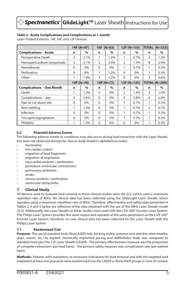#### **Table 2. Acute Complications and Complications at 1-month**

Laser-Treated Patients: 14F, 16F, and 12F Devices

|                                  |                | 14F (N=97) |          | $16F (N=83)$ |                | $12F(N=153)$ | TOTAL (N=333)  |                      |
|----------------------------------|----------------|------------|----------|--------------|----------------|--------------|----------------|----------------------|
| <b>Complications - Acute</b>     | n              | $\%$       | n        | $\%$         | n              | $\%$         | n              | $\%$                 |
| Perioperative Death              | $\overline{2}$ | 2.1%       | 1        | 1.2%         |                | 0.7%         | 4              | 1.2%                 |
| Hemopericardium tamponade        | 3              | 3.1%       | 3        | 3.6%         | $\mathfrak{D}$ | 1.3%         | 8              | 2.4%                 |
| Hemothorax                       | $\Omega$       | 0%         | $\Omega$ | $0\%$        |                | 0.7%         |                | 0.3%                 |
| Perforation                      | $\Omega$       | 0%         | 1        | 1.2%         | $\Omega$       | $0\%$        | 1              | 0.3%                 |
| Other                            | 1              | 1.0%       | 1        | 1.2%         | $\Omega$       | 0%           | $\overline{2}$ | 0.6%                 |
|                                  |                | 14F (N=78) |          | $16F(N=72)$  |                | $12F(N=145)$ |                | <b>TOTAL (N=295)</b> |
| <b>Complications - One Month</b> | n              | $\%$       | n        | $\%$         | n              | $\%$         | n              | $\%$                 |
| Death                            | 1              | 1.3%       | $\Omega$ | 0%           | 2              | 1.4%         | 3              | 1.0%                 |
| Complications - any              | 2              | 2.6%       | $\Omega$ | 0%           | 4              | 2.8%         | 6              | 2.0%                 |
| Pain at cut-down site            | $\Omega$       | 0%         | $\Omega$ | 0%           |                | 0.7%         | 1              | 0.3%                 |
| Arm swelling                     | 1              | 1.3%       | $\Omega$ | $0\%$        |                | 0.7%         | 2              | 0.7%                 |
| Infection                        | $\Omega$       | 0%         | $\Omega$ | 0%           |                | 0.7%         | 1              | 0.3%                 |
| Tricuspid regurgitation          | $\Omega$       | 0%         | $\Omega$ | 0%           |                | $0.7\%$      | 1              | 0.3%                 |
| Phlebitis                        | 1              | 1.3%       | $\Omega$ | $0\%$        | $\Omega$       | $0\%$        | 1              | 0.3%                 |

#### **6.2 Potential Adverse Events**

The following adverse events or conditions may also occur during lead extraction with the Laser Sheath, but were not observed during the clinical study (listed in alphabetical order):

- bacteremia
- low cardiac output
- migration of lead fragments
- migration of vegetation
- myocardial avulsion / perforation
- premature ventricular contractions
- pulmonary embolism
- stroke
- venous avulsion / perforation
- ventricular tachycardia

#### **7. Clinical Study**

All devices used to evaluate lead removal in these clinical studies were the SLS, which used a maximum repetition rate of 40Hz. No clinical data has been collected using the GlideLight Laser Sheath, which operates using a maximum repetition rate of 80Hz. Therefore, effectiveness and safety data presented in Tables 3, 4 and 5 below are reflective of the data obtained with the use of the 40Hz Laser Sheath model (SLS). Additionally, the Laser Sheaths in these studies were used with the CVX-300® Excimer Laser System. The Philips Laser System provides the same output and operates at the same parameters as the CVX-300<sup>®</sup> Excimer Laser System; therefore, no new clinical data has been collected for the Laser Sheath with the Philips Laser System.

#### **7.1 Randomized Trial**

**Purpose:** The use of standard tools (NonLASER) only (locking stylets, polymer and stainless steel sheaths, grips, snares, etc.) to explant chronically implanted pacing and defibrillator leads was compared to standard tools plus the 12F Laser Sheath (LASER). The primary effectiveness measure was the proportion of complete extractions (per lead basis). The primary safety measure was complication rate (per patient basis).

**Methods:** Patients with mandatory or necessary indications for lead removal and with the targeted lead implanted at least one year prior were randomized into the LASER or NonLASER groups in nine US centers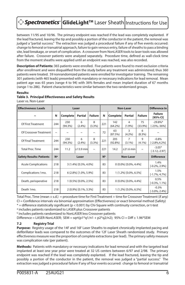# **> Spectranetics` GlideLight™** Laser Sheath Instructions for Use

between 11/95 and 10/96. The primary endpoint was reached if the lead was completely explanted. If the lead fractured, leaving the tip and possibly a portion of the conductor in the patient, the removal was judged a "partial success." The extraction was judged a procedural failure if any of five events occurred: change to femoral or transatrial approach, failure to gain venous entry, failure of sheaths to pass a binding site, lead breakage, or onset of complication. A crossover from NonLASER tools to laser tools was allowed after failure. Crossover patients were analyzed separately. Procedure time, defined as wall-clock time from the moment sheaths were applied until an endpoint was reached, was also recorded.

**Description of Patients:** 365 patients were enrolled. Five patients were found to meet exclusion criteria after enrollment and were disqualified from the study before any treatment was administered; thus 360 patients were treated. 59 nonrandomized patients were enrolled for investigator training. The remaining 301 patients (with 465 leads) presented with mandatory or necessary indications for lead removal. Mean patient age was 65 years (range 4 to 94) with 36% females and mean implant duration of 67 months (range 1 to 286). Patient characteristics were similar between the two randomized groups.

#### **Results:**

#### **Table 3. Principal Effectiveness and Safety Results**

Laser vs. Non-Laser

| <b>Effectiveness: Leads</b>     |                       |                   | Laser                 |                       |                | <b>Non-Laser</b>        |                             |                              | <b>Difference In</b>           |
|---------------------------------|-----------------------|-------------------|-----------------------|-----------------------|----------------|-------------------------|-----------------------------|------------------------------|--------------------------------|
| $\tilde{}$                      | N                     | Complete          | Partial               | <b>Failure</b>        | N              | Complete                | Partial                     | <b>Failure</b>               | <b>Failure</b><br>$[95%$ CI]   |
| Of First Treatment              | 244                   | 230<br>$(94.3\%)$ | 6<br>(2.4%)           | 8<br>(3.3%)           | 221            | 142<br>$(64.2\%)$       | 4<br>$(1.9\%)$              | 75<br>$(33.9\%)$             | $-29.8%$ *<br>$[-23\%, -36\%]$ |
| Of Crossover Treatment          | $\tilde{\phantom{a}}$ | $\tilde{}$        | $\tilde{}$            | $\tilde{\phantom{a}}$ | 72             | 63<br>(87.5%)           | 3<br>$(4.2\%)$              | 6<br>$(8.3\%)$               |                                |
| Of Final Treatment              | 244                   | 230<br>$(94.3\%)$ | 6<br>$(2.4\%)$        | 8<br>(3.3%)           | 221            | 205<br>$(92.8\%)$       | $\overline{7}$<br>$(3.1\%)$ | $\mathsf{Q}$<br>$(4.1\%)$    | $-0.8%$<br>$[-2.8\%, 4.2\%]$   |
| Total Proc. Time                | 244                   | 11.2              | l+13.9 minl           | $\tilde{\phantom{a}}$ | 221            | 14.2                    | $+21.6$ min                 | $\tilde{}$                   | $-3.05*$<br>$[-3.12,-2.97]$    |
| <b>Safety Results: Patients</b> | <b>N</b> <sup>a</sup> |                   | Laser                 |                       | N <sub>b</sub> | <b>Non-Laser</b>        |                             |                              | <b>Difference</b>              |
| <b>Acute Complications</b>      | 218                   |                   | 3 (1.4%) [0.3%, 4.0%] |                       | 83             | $0(0.0\%)$ [0.0%, 4.4%] |                             | 1.4%<br>$[-0.2\%, 2.9\%]$    |                                |
| Complications 1mo.              | 218                   |                   | 6 (2.8%) [1.0%, 5.9%] |                       | 83             | 1 (1.2%) [0.0%, 6.5%]   |                             | 1.5%<br>$[-1.7\%, 4.7\%]$    |                                |
| Death, perioperative            | 218                   |                   | 1 (0.5%) [0.0%, 2.5%] |                       | 83             | $0(0.0\%)$ [0.0%, 4.4%] |                             | 0.5%<br>$[-0.3\%, 1.1\%]$    |                                |
| Death 1mo.                      | 218                   |                   | 2 (0.9%) [0.1%, 3.3%] |                       | 83             | 1 (1.2%) [0.0%, 6.5%]   |                             | $-0.3%$<br>$[-3.0\%, 2.4\%]$ |                                |

Total Proc. Time (mean ± s.d.) = procedure time for First Treatment + time for Crossover Treatment (if any) CI = Confidence intervals via binomial approximation (Effectiveness) or exact binomial method (Safety) \* = difference statistically significant (p < 0.001) by Chi-Square with continuity correction, or t-test

a includes patients randomized to LASER plus Crossover patients

**b** includes patients randomized to NonLASER less Crossover patients

Difference = LASER-NonLASER; SEM = sqrt(p1\*q1/n1 + p2\*q2/n2); 95% CI = Diff  $\pm$  1.96\*SEM

#### **7.2 Registry Trial**

**Purpose:** Registry usage of the 14F and 16F Laser Sheaths to explant chronically implanted pacing and defibrillator leads was compared to the outcomes of the 12F Laser Sheath randomized study. Primary effectiveness measure was the proportion of complete extractions (per lead). The primary safety measure was complication rate (per patient).

**Methods:** Patients with mandatory or necessary indications for lead removal and with the targeted lead implanted at least one year prior were treated at 32 US centers between 6/97 and 2/98. The primary endpoint was reached if the lead was completely explanted. If the lead fractured, leaving the tip and possibly a portion of the conductor in the patient, the removal was judged a "partial success." The extraction was judged a procedural failure if any of four events occurred: change to femoral or transatrial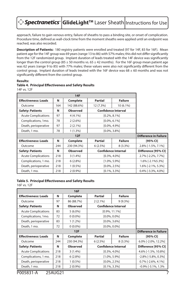## **D** Spectranetics | GlideLight™ Laser Sheath |Instructions for Use

approach, failure to gain venous entry, failure of sheaths to pass a binding site, or onset of complication. Procedure time, defined as wall-clock time from the moment sheaths were applied until an endpoint was reached, was also recorded.

**Description of Patients:** 180 registry patients were enrolled and treated (97 for 14F, 83 for 16F). Mean patient age for the 14F group was 69 years (range 13 to 86) with 57% males; this did not differ significantly from the 12F randomized group. Implant duration of leads treated with the 14F device was significantly longer than the control group (85  $\pm$  50 months vs. 65  $\pm$  42 months). For the 16F group mean patient age was 62 years (range 9 to 85) with 77% males; these values were also not significantly different from the control group. Implant duration of leads treated with the 16F device was  $68 \pm 60$  months and was not significantly different from the control group.

#### **Results:**

|                             |     | <b>14F</b>      |                  |                            |                              |
|-----------------------------|-----|-----------------|------------------|----------------------------|------------------------------|
| <b>Effectiveness: Leads</b> | N   | Complete        | Partial          | <b>Failure</b>             |                              |
| Outcome                     | 164 | 142 (88.6%)     | 12 (7.3%)        | 10 (6.1%)                  |                              |
| <b>Safety: Patients</b>     | N   | <b>Observed</b> |                  | <b>Confidence Interval</b> |                              |
| <b>Acute Complications</b>  | 97  | $4(4.1\%)$      |                  | $[0.2\%, 8.1\%]$           |                              |
| Complications, 1mo.         | 78  | $2(2.6\%)$      |                  | $[0.0\%, 6.1\%]$           |                              |
| Death, perioperative        | 97  | $2(2.1\%)$      |                  | $[0.0\%, 4.9\%]$           |                              |
| Death, 1 mo.                | 78  | $1(1.3\%)$      |                  | $[0.0\%, 3.8\%]$           |                              |
|                             |     | 12F             |                  |                            | <b>Difference in Failure</b> |
| <b>Effectiveness: Leads</b> | N   | Complete        | Partial          | <b>Failure</b>             | [95% CI]                     |
| Outcome                     | 244 | 230 (94.3%)     | $6(2.5\%)$       | $8(3.3\%)$                 | 2.8% [-1.5%, 7.1%]           |
| <b>Safety: Patients</b>     | N   | <b>Observed</b> |                  | <b>Confidence Internal</b> | Difference [95% CI]          |
| <b>Acute Complications</b>  | 218 | $3(1.4\%)$      | $[0.3\%, 4.0\%]$ |                            | 2.7% [-2.2%, 7.7%]           |
| Complications, 1 mo.        | 218 | $6(2.8\%)$      | $[1.0\%, 5.9\%]$ | 1.6% [-2.1%5.3%]           |                              |
| Death, perioperative        | 218 | $1(0.5\%)$      | $[0.0\%, 2.5\%]$ | 1.6% [-2.1%, 5.3%]         |                              |
| Death, 1 mo.                | 218 | $2(0.9\%)$      |                  | $[0.1\%, 3.3\%]$           | 0.4% [-3.3%, 4.0%]           |

#### **Table 4. Principal Effectiveness and Safety Results**  14F vs. 12F

#### **Table 5. Principal Effectiveness and Safety Results**

16F vs. 12F

| <b>Effectiveness: Leads</b> | N   | Complete        | Partial          | <b>Failure</b>             |                              |
|-----------------------------|-----|-----------------|------------------|----------------------------|------------------------------|
| Outcome                     | 97  | 86 (88.7%)      | $2(2.1\%)$       | $9(9.3\%)$                 |                              |
| <b>Safety: Patients</b>     | N   | <b>Observed</b> |                  | <b>Confidence Interval</b> |                              |
| <b>Acute Complications</b>  | 83  | $5(6.0\%)$      |                  | $[0.9\%, 11.1\%]$          |                              |
| Complications, 1mo.         | 72  | $0(0.0\%)$      |                  | $[0.0\%, 0.0\%]$           |                              |
| Death, perioperative        | 83  | $1(1.2\%)$      |                  | $[0.0\%, 3.6\%]$           |                              |
| Death, 1 mo.                | 72  | $0(0.0\%)$      | $[0.0\%, 0.0\%]$ |                            |                              |
|                             |     | 12F             |                  |                            | <b>Difference in Failure</b> |
| <b>Effectiveness: Leads</b> | N   | Complete        | Partial          | <b>Failure</b>             | [95% CI]                     |
| Outcome                     | 244 | 230 (94.3%)     | 6(2.5%)          | $8(3.3\%)$                 | 6.0% [-2.0%, 12.2%]          |
| <b>Safety: Patients</b>     | N   | <b>Observed</b> |                  | <b>Confidence Internal</b> | Difference [95% CI]          |
| <b>Acute Complications</b>  | 218 | $3(1.4\%)$      | $[0.3\%, 4.0\%]$ |                            | 4.6% [-1.5%, 10.8%]          |
| Complications, 1 mo.        | 218 | $6(2.8\%)$      | $[1.0\%, 5.9\%]$ |                            | $-2.8\%$ [ $-5.8\%$ , 0.3%]  |
| Death, perioperative        | 218 | $1(0.5\%)$      | $[0.0\%, 2.5\%]$ |                            | $0.7\%$ [-2.6%, 4.1%]        |
| Death, 1 mo.                | 218 | $2(0.9\%)$      |                  | $[0.1\%, 3.3\%]$           | $-0.9\%$ [ $-3.1\%$ , 1.3%   |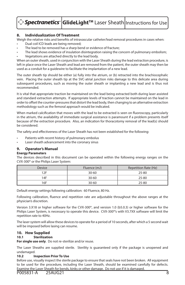|  | <b>○ Spectranetics GlideLight</b> ™ Laser Sheath Instructions for Use |  |
|--|-----------------------------------------------------------------------|--|
|--|-----------------------------------------------------------------------|--|

#### **8. Individualization Of Treatment**

Weigh the relative risks and benefits of intravascular catheter/lead removal procedures in cases when:

- Dual coil ICD leads are being removed;
- The lead to be removed has a sharp bend or evidence of fracture;
- The lead shows evidence of insulation disintegration raising the concern of pulmonary embolism;
- Vegetations are attached directly to the lead body.

When an outer sheath, used in conjunction with the Laser Sheath during the lead extraction procedure, is left in place once the Laser Sheath and lead are removed from the patient, the outer sheath may then be used as a conduit for a guidewire to facilitate the implantation of a new lead.

The outer sheath tip should be either (a) fully into the atrium, or (b) retracted into the brachiocephalic vein. Placing the outer sheath tip at the SVC-atrial junction risks damage to this delicate area during subsequent procedures, such as moving the outer sheath or implanting a new lead and is thus not recommended.

It is vital that appropriate traction be maintained on the lead being extracted both during laser assisted and standard extraction attempts. If appropriate levels of traction cannot be maintained on the lead in order to offset the counter-pressures that distort the lead body, then changing to an alternative extraction methodology such as the femoral approach would be indicated.

When marked calcification that moves with the lead to be extracted is seen on fluoroscopy, particularly in the atrium, the availability of immediate surgical assistance is paramount if a problem presents itself because of the extraction procedure. Also, an indication for thoracotomy removal of the lead(s) should be considered.

The safety and effectiveness of the Laser Sheath has not been established for the following:

- Patients with recent history of pulmonary embolus
- Laser sheath advancement into the coronary sinus

#### **9. Operator's Manual**

#### **Energy Parameters**

The devices described in this document can be operated within the following energy ranges on the CVX-300® or the Philips Laser System:

| <b>Device</b> | Fluence (mJ) | Repetition Rate (Hz) |
|---------------|--------------|----------------------|
| 1つに           | $30 - 60$    | 25-80                |
| 14F           | $30 - 60$    | 25-80                |
| 16F           | $30 - 60$    | 25-80                |

Default energy settings following calibration: 60 Fluence, 80 Hz.

Following calibration, fluence and repetition rate are adjustable throughout the above ranges at the physician's discretion.

Version 3.X18 or higher software for the CVX-300®, and version 1.0 (b5.0.3) or higher software for the Philips Laser System, is necessary to operate this device. CVX-300®'s with V3.7XX software will limit the repetition rate to 40Hz.

The laser system will allow these devices to operate for a period of 10 seconds, after which a 5 second wait will be imposed before lasing can resume.

#### **10. How Supplied**

#### **10.1 Sterilization**

**For single use only**. Do not re-sterilize and/or reuse.

The Laser Sheaths are supplied sterile. Sterility is guaranteed only if the package is unopened and undamaged.

#### **10.2 Inspection Prior To Use**

Before use, visually inspect the sterile package to ensure that seals have not been broken. All equipment to be used for the procedure, including the Laser Sheath, should be examined carefully for defects. Examine the Laser Sheath for bends, kinks or other damage. Do not use if it is damaged.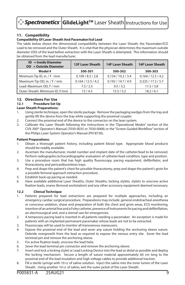#### **11. Compatibility**

#### **Compatibility Of Laser Sheath And Pacemaker/Icd Lead**

The table below shows the dimensional compatibility between the Laser Sheath, the Pacemaker/ICD Lead to be removed and the Outer Sheath. It is vital that the physician determines the maximum outside diameter (OD) of the lead before extraction with the Laser Sheath is attempted. This information should be obtained from the lead manufacturer.

| $ID = Inside Diameter$<br>$OD = Outside Diameter$ | <b>12F Laser Sheath</b> | <b>14F Laser Sheath</b> | <b>16F Laser Sheath</b> |  |
|---------------------------------------------------|-------------------------|-------------------------|-------------------------|--|
| Model #                                           | 500-301                 | 500-302                 | 500-303                 |  |
| Minimum Tip ID, in. / F /mm                       | 0.109 / 8.3 / 2.8       | 0.134 / 10.2 / 3.4      | 0.164 / 12.5 / 4.2      |  |
| Maximum Tip OD, in. / F / mm                      | 0.164 / 12.5 / 4.2      | 0.192 / 14.7 / 4.9      | 0.225 / 17.2 / 5.7      |  |
| Lead: Maximum OD, F / mm                          | 7.5/2.5                 | 9.5 / 3.2               | 11.5 / 3.8              |  |
| Outer Sheath: Minimum ID, F/mm                    | 13/4.3                  | 15.5 / 5.2              | 18.2 / 6.1              |  |

#### **12. Directions For Use**

#### **12.1 Procedure Set Up**

#### **Laser Sheath Preparations:**

- 1. Using sterile technique, open the sterile package. Remove the packaging wedges from the tray and gently lift the device from the tray while supporting the proximal coupler.
- 2. Connect the proximal end of the device to the connector on the laser system.
- 3. Calibrate the Laser Sheath following the instructions in the "Operational Modes" section of the CVX-300® Operator's Manual (7030-0035 or 7030-0068) or the "Screen Guided Workflow" section of the Philips Laser System Operator's Manual (P018730).

#### **Patient Preparations:**

- 1. Obtain a thorough patient history, including patient blood type. Appropriate blood products should be readily available.
- 2. Ascertain the manufacturer, model number and implant date of the catheter/lead to be removed. Perform radiographic/echocardiographic evaluation of catheter/lead condition, type and position.
- 3. Use a procedure room that has high quality fluoroscopy, pacing equipment, defibrillator, and thoracotomy and pericardiocentesis trays.
- 4. Prep and drape the patient's chest for possible thoracotomy; prep and drape the patient's groin for a possible femoral approach extraction procedure.
- 5. Establish back-up pacing as needed.
- 6. Have available additional Laser Sheaths, Outer Sheaths, locking stylets, stylets to unscrew active fixation leads, snares (femoral workstation) and any other accessory equipment deemed necessary.

#### **12.2 Clinical Technique**

- 1. Patients prepared for lead extractions are prepared for multiple approaches, including an emergency cardiac surgical procedure. Preparations may include: general endotracheal anesthesia or conscious sedation, shave and preparation of both the chest and groin areas, ECG monitoring, insertion of an arterial line and a Foley catheter, presence of instruments for pacing and defibrillation, an electrosurgical unit, and a sternal saw for emergencies.
- 2. A temporary pacing lead is inserted in all patients needing a pacemaker. An exception is made for patients with an implanted permanent pacemaker whose leads are not to be extracted.
- 3. Fluoroscopy will be used to monitor all transvenous maneuvers.
- 4. Expose the proximal end of the lead and sever any suture holding the anchoring sleeve suture. Debride overgrowth from the lead as required to expose the venous entry site. Sever the lead terminal pin and remove the anchoring sleeve.
- 5. For active fixation leads, unscrew the lead helix.
- 6. Sever the lead terminal pin connector and remove the anchoring sleeve.
- 7. Insert and lock a locking stylet or Lead Locking Device into the lead as distal as possible and deploy the locking mechanism. Secure a length of suture material approximately 60 cm long to the proximal end of the lead insulation and high voltage cables to provide additional traction.
- 8. Fill a sterile syringe with 10 cc of saline solution. Inject the saline into the inner lumen of the Laser Sheath. Using another 10 cc of saline, wet the outer jacket of the Laser Sheath.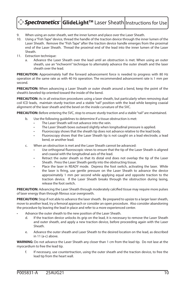## ◆ *Spectranetics* | GlideLight™ Laser Sheath|Instructions for Use

- 9. When using an outer sheath, wet the inner lumen and place over the Laser Sheath.
- 10. Using a "Fish Tape" device, thread the handle of the traction device through the inner lumen of the Laser Sheath. Remove the "Fish Tape" after the traction device handle emerges from the proximal end of the Laser Sheath. Thread the proximal end of the lead into the inner lumen of the Laser Sheath.
- 11. Extraction technique:
	- a. Advance the Laser Sheath over the lead until an obstruction is met. When using an outer sheath, use an "inchworm" technique to alternately advance the outer sheath and the laser sheath over the lead.

**PRECAUTION:** Approximately half the forward advancement force is needed to progress with 80 Hz operation at the same rate as with 40 Hz operation. The recommended advancement rate is 1 mm per second.

**PRECAUTION:** When advancing a Laser Sheath or outer sheath around a bend, keep the point of the sheath's beveled tip oriented toward the inside of the bend.

**PRECAUTION:** As in all extraction procedures using a laser sheath, but particularly when removing dual coil ICD leads, maintain sturdy traction and a stable "rail" position with the lead while keeping coaxial alignment of the laser sheath and the bevel on the inside curvature of the SVC.

**PRECAUTION:** Before entering the SVC, stop to ensure sturdy traction and a stable "rail" are maintained.

- b. Use the following guidelines to determine if a tissue obstruction is met:
	- The Laser Sheath will not advance into the vein.
	- The Laser Sheath bows outward slightly when longitudinal pressure is applied.
	- Fluoroscopy shows that the sheath tip does not advance relative to the lead body.
	- Fluoroscopy shows that the Laser Sheath tip is not caught on a lead electrode, a lead bend, or another lead.
- c. When an obstruction is met and the Laser Sheath cannot be advanced:
	- Use orthogonal fluoroscopic views to ensure that the tip of the Laser Sheath is aligned and coaxial with the longitudinal axis of the lead.
	- Retract the outer sheath so that its distal end does not overlap the tip of the Laser Sheath. Press the Laser Sheath gently into the obstructing tissue.
	- Place the laser in READY mode. Depress the foot switch, activating the laser. While the laser is firing, use gentle pressure on the Laser Sheath to advance the device approximately 1 mm per second while applying equal and opposite traction to the traction device. If the Laser Sheath breaks through the obstruction during lasing, release the foot switch.

**PRECAUTION:** Advancing the Laser Sheath through moderately calcified tissue may require more pulses of laser energy than through fibrous scar overgrowth.

**PRECAUTION:** Stop if not able to advance the laser sheath. Be prepared to upsize to a larger laser sheath, move to another lead, try a femoral approach or consider an open procedure. Also consider abandoning the procedure by leaving the lead in place and refer to a more experienced center.

- Advance the outer sheath to the new position of the Laser Sheath.
	- d. If the traction device unlocks its grip on the lead, it is necessary to remove the Laser Sheath and outer sheath, and apply a new traction device, before proceeding again with the Laser Sheath.
	- e. Advance the outer sheath and Laser Sheath to the desired location on the lead, as described in 11 (a-c) above.

**WARNING:** Do not advance the Laser Sheath any closer than 1 cm from the lead tip. Do not lase at the myocardium to free the lead tip.

f. If necessary, use countertraction, using the outer sheath and the traction device, to free the lead tip from the heart wall.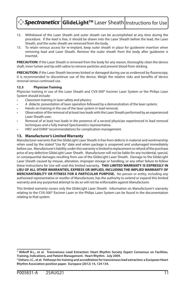**Spectranetics | GlideLight™** Laser Sheath | Instructions for Use

- 12. Withdrawal of the Laser Sheath and outer sheath can be accomplished at any time during the procedure. If the lead is free, it should be drawn into the Laser Sheath before the lead, the Laser Sheath, and the outer sheath are removed from the body.
- 13. To retain venous access for re-implant, keep outer sheath in place for guidewire insertion when removing lead and Laser Sheath. Remove the outer sheath from the body after guidewire is inserted.

**PRECAUTION:** If the Laser Sheath is removed from the body for any reason, thoroughly clean the device shaft, inner lumen and tip with saline to remove particles and prevent blood from sticking.

**PRECAUTION:** If the Laser Sheath becomes kinked or damaged during use as evidenced by fluoroscopy, it is recommended to discontinue use of the device. Weigh the relative risks and benefits of device removal versus continued use.

#### **12.3 Physician Training**

Physician training in use of the Laser Sheath and CVX-300® Excimer Laser System or the Philips Laser System should include:

- Classroom training in laser safety and physics;
- A didactic presentation of laser operation followed by a demonstration of the laser system;
- Hands-on training in the use of the laser system in lead removal;
- Observation of the removal of at least two leads with the Laser Sheath performed by an experienced Laser Sheath user;
- Removal of at least two leads in the presence of a second physician experienced in lead removal techniques and a fully trained Spectranetics representative.
- HRS<sup>3</sup> and EHRA<sup>4</sup> recommendations for complication management.

#### **13. Manufacturer's Limited Warranty**

Manufacturer warrants that the GlideLight Laser Sheath is free from defects in material and workmanship when used by the stated "Use By" date and when package is unopened and undamaged immediately before use. Manufacturer's liability under this warranty is limited to replacement or refund of the purchase price of any defective GlideLight Laser Sheath. Manufacturer will not be liable for any incidental, special, or consequential damages resulting from use of the GlideLight Laser Sheath. Damage to the GlideLight Laser Sheath caused by misuse, alteration, improper storage or handling, or any other failure to follow these Instructions for Use will void this limited warranty. **THIS LIMITED WARRANTY IS EXPRESSLY IN LIEU OF ALL OTHER WARRANTIES, EXPRESS OR IMPLIED, INCLUDING THE IMPLIED WARRANTY OF MERCHANTABILITY OR FITNESS FOR A PARTICULAR PURPOSE.** No person or entity, including any authorized representative or reseller of Manufacturer, has the authority to extend or expand this limited warranty and any purported attempt to do so will not be enforceable against Manufacturer.

This limited warranty covers only the GlideLight Laser Sheath. Information on Manufacturer's warranty relating to the CVX-300® Excimer Laser or the Philips Laser System can be found in the documentation relating to that system.

**<sup>3</sup> Wilkoff B.L., et al. Transvenous Lead Extraction: Heart Rhythm Society Expert Consensus on Facilities, Training, Indications, and Patient Management. Heart Rhythm. July 2009.**

**<sup>4</sup> Deharo J.C., et al. Pathways for training and accreditation for transvenous lead extraction: a European Heart Rhythm Association position paper. Europace (2012) 14, 124-134.**